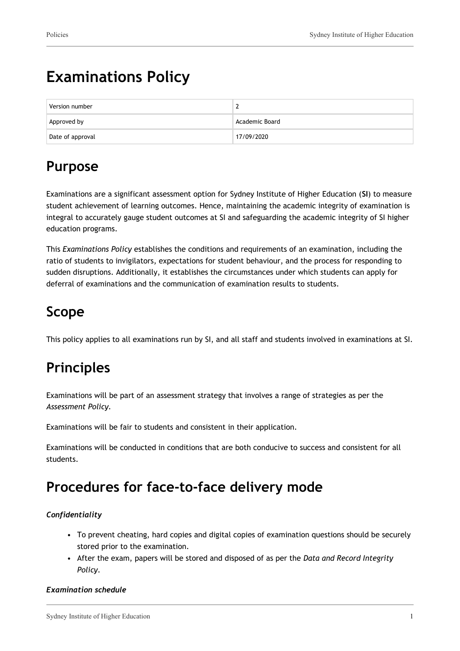# **Examinations Policy**

| Version number   | -              |
|------------------|----------------|
| Approved by      | Academic Board |
| Date of approval | 17/09/2020     |

# **Purpose**

Examinations are a significant assessment option for Sydney Institute of Higher Education (**SI**) to measure student achievement of learning outcomes. Hence, maintaining the academic integrity of examination is integral to accurately gauge student outcomes at SI and safeguarding the academic integrity of SI higher education programs.

This *Examinations Policy* establishes the conditions and requirements of an examination, including the ratio of students to invigilators, expectations for student behaviour, and the process for responding to sudden disruptions. Additionally, it establishes the circumstances under which students can apply for deferral of examinations and the communication of examination results to students.

# **Scope**

This policy applies to all examinations run by SI, and all staff and students involved in examinations at SI.

# **Principles**

Examinations will be part of an assessment strategy that involves a range of strategies as per the *Assessment Policy.*

Examinations will be fair to students and consistent in their application.

Examinations will be conducted in conditions that are both conducive to success and consistent for all students.

## **Procedures for face-to-face delivery mode**

#### *Confidentiality*

- To prevent cheating, hard copies and digital copies of examination questions should be securely stored prior to the examination.
- After the exam, papers will be stored and disposed of as per the *Data and Record Integrity Policy.*

#### *Examination schedule*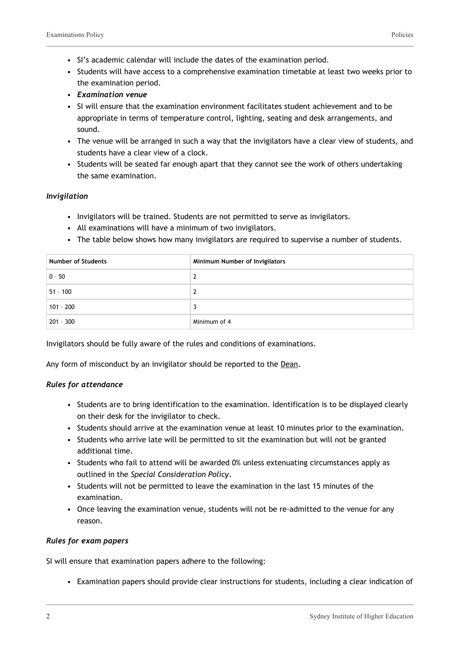- SI's academic calendar will include the dates of the examination period.
- Students will have access to a comprehensive examination timetable at least two weeks prior to the examination period.
- *Examination venue*
- SI will ensure that the examination environment facilitates student achievement and to be appropriate in terms of temperature control, lighting, seating and desk arrangements, and sound.
- The venue will be arranged in such a way that the invigilators have a clear view of students, and students have a clear view of a clock.
- Students will be seated far enough apart that they cannot see the work of others undertaking the same examination.

#### *Invigilation*

- Invigilators will be trained. Students are not permitted to serve as invigilators.
- All examinations will have a minimum of two invigilators.
- The table below shows how many invigilators are required to supervise a number of students.

| <b>Number of Students</b> | Minimum Number of Invigilators |
|---------------------------|--------------------------------|
| $0 - 50$                  | 2                              |
| $51 - 100$                | 2                              |
| $101 - 200$               | 3                              |
| $201 - 300$               | Minimum of 4                   |

Invigilators should be fully aware of the rules and conditions of examinations.

Any form of misconduct by an invigilator should be reported to the Dean.

#### *Rules for attendance*

- Students are to bring identification to the examination. Identification is to be displayed clearly on their desk for the invigilator to check.
- Students should arrive at the examination venue at least 10 minutes prior to the examination.
- Students who arrive late will be permitted to sit the examination but will not be granted additional time.
- Students who fail to attend will be awarded 0% unless extenuating circumstances apply as outlined in the *Special Consideration Policy*.
- Students will not be permitted to leave the examination in the last 15 minutes of the examination.
- Once leaving the examination venue, students will not be re-admitted to the venue for any reason.

#### *Rules for exam papers*

SI will ensure that examination papers adhere to the following:

• Examination papers should provide clear instructions for students, including a clear indication of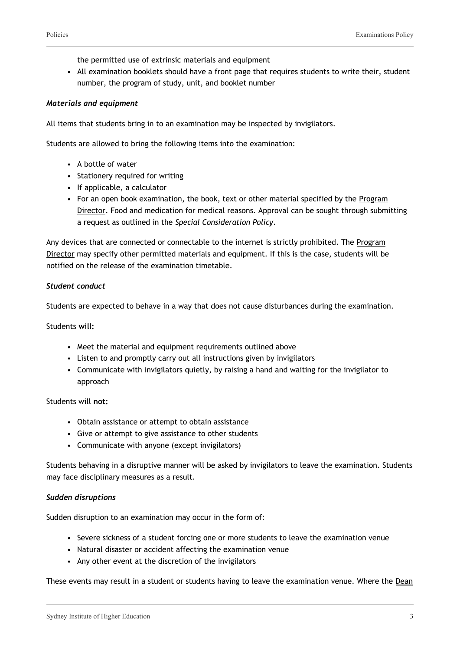the permitted use of extrinsic materials and equipment

• All examination booklets should have a front page that requires students to write their, student number, the program of study, unit, and booklet number

#### *Materials and equipment*

All items that students bring in to an examination may be inspected by invigilators.

Students are allowed to bring the following items into the examination:

- A bottle of water
- Stationery required for writing
- If applicable, a calculator
- For an open book examination, the book, text or other material specified by the Program Director. Food and medication for medical reasons. Approval can be sought through submitting a request as outlined in the *Special Consideration Policy*.

Any devices that are connected or connectable to the internet is strictly prohibited. The Program Director may specify other permitted materials and equipment. If this is the case, students will be notified on the release of the examination timetable.

#### *Student conduct*

Students are expected to behave in a way that does not cause disturbances during the examination.

Students **will:**

- Meet the material and equipment requirements outlined above
- Listen to and promptly carry out all instructions given by invigilators
- Communicate with invigilators quietly, by raising a hand and waiting for the invigilator to approach

#### Students will **not:**

- Obtain assistance or attempt to obtain assistance
- Give or attempt to give assistance to other students
- Communicate with anyone (except invigilators)

Students behaving in a disruptive manner will be asked by invigilators to leave the examination. Students may face disciplinary measures as a result.

#### *Sudden disruptions*

Sudden disruption to an examination may occur in the form of:

- Severe sickness of a student forcing one or more students to leave the examination venue
- Natural disaster or accident affecting the examination venue
- Any other event at the discretion of the invigilators

These events may result in a student or students having to leave the examination venue. Where the Dean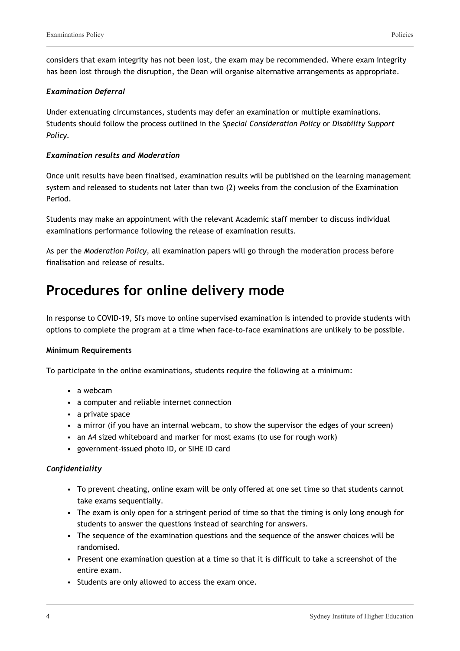considers that exam integrity has not been lost, the exam may be recommended. Where exam integrity has been lost through the disruption, the Dean will organise alternative arrangements as appropriate.

#### *Examination Deferral*

Under extenuating circumstances, students may defer an examination or multiple examinations. Students should follow the process outlined in the *Special Consideration Policy* or *Disability Support Policy.*

#### *Examination results and Moderation*

Once unit results have been finalised, examination results will be published on the learning management system and released to students not later than two (2) weeks from the conclusion of the Examination Period.

Students may make an appointment with the relevant Academic staff member to discuss individual examinations performance following the release of examination results.

As per the *Moderation Policy,* all examination papers will go through the moderation process before finalisation and release of results.

### **Procedures for online delivery mode**

In response to COVID-19, SI's move to online supervised examination is intended to provide students with options to complete the program at a time when face-to-face examinations are unlikely to be possible.

#### **Minimum Requirements**

To participate in the online examinations, students require the following at a minimum:

- a webcam
- a computer and reliable internet connection
- a private space
- a mirror (if you have an internal webcam, to show the supervisor the edges of your screen)
- an A4 sized whiteboard and marker for most exams (to use for rough work)
- government-issued photo ID, or SIHE ID card

#### *Confidentiality*

- To prevent cheating, online exam will be only offered at one set time so that students cannot take exams sequentially.
- The exam is only open for a stringent period of time so that the timing is only long enough for students to answer the questions instead of searching for answers.
- The sequence of the examination questions and the sequence of the answer choices will be randomised.
- Present one examination question at a time so that it is difficult to take a screenshot of the entire exam.
- Students are only allowed to access the exam once.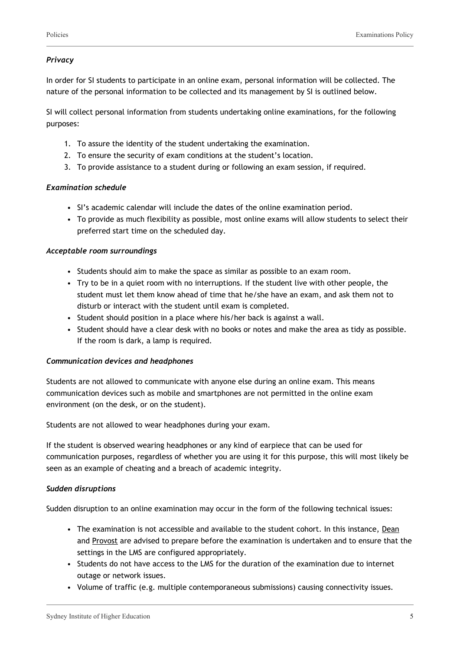#### *Privacy*

In order for SI students to participate in an online exam, personal information will be collected. The nature of the personal information to be collected and its management by SI is outlined below.

SI will collect personal information from students undertaking online examinations, for the following purposes:

- 1. To assure the identity of the student undertaking the examination.
- 2. To ensure the security of exam conditions at the student's location.
- 3. To provide assistance to a student during or following an exam session, if required.

#### *Examination schedule*

- SI's academic calendar will include the dates of the online examination period.
- To provide as much flexibility as possible, most online exams will allow students to select their preferred start time on the scheduled day.

#### *Acceptable room surroundings*

- Students should aim to make the space as similar as possible to an exam room.
- Try to be in a quiet room with no interruptions. If the student live with other people, the student must let them know ahead of time that he/she have an exam, and ask them not to disturb or interact with the student until exam is completed.
- Student should position in a place where his/her back is against a wall.
- Student should have a clear desk with no books or notes and make the area as tidy as possible. If the room is dark, a lamp is required.

#### *Communication devices and headphones*

Students are not allowed to communicate with anyone else during an online exam. This means communication devices such as mobile and smartphones are not permitted in the online exam environment (on the desk, or on the student).

Students are not allowed to wear headphones during your exam.

If the student is observed wearing headphones or any kind of earpiece that can be used for communication purposes, regardless of whether you are using it for this purpose, this will most likely be seen as an example of cheating and a breach of academic integrity.

#### *Sudden disruptions*

Sudden disruption to an online examination may occur in the form of the following technical issues:

- The examination is not accessible and available to the student cohort. In this instance, Dean and Provost are advised to prepare before the examination is undertaken and to ensure that the settings in the LMS are configured appropriately.
- Students do not have access to the LMS for the duration of the examination due to internet outage or network issues.
- Volume of traffic (e.g. multiple contemporaneous submissions) causing connectivity issues.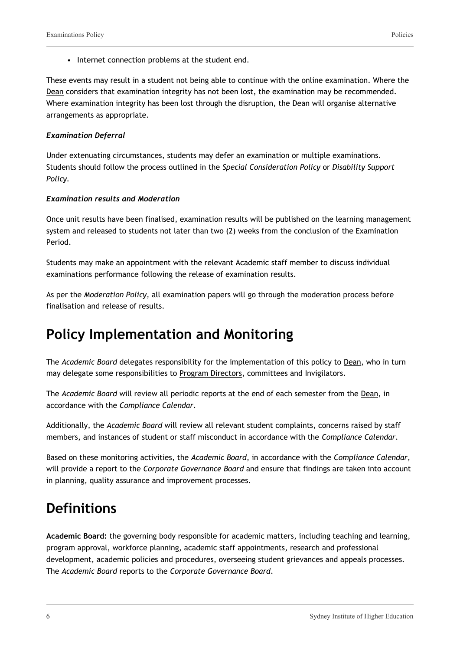• Internet connection problems at the student end.

These events may result in a student not being able to continue with the online examination. Where the Dean considers that examination integrity has not been lost, the examination may be recommended. Where examination integrity has been lost through the disruption, the Dean will organise alternative arrangements as appropriate.

#### *Examination Deferral*

Under extenuating circumstances, students may defer an examination or multiple examinations. Students should follow the process outlined in the *Special Consideration Policy* or *Disability Support Policy.*

#### *Examination results and Moderation*

Once unit results have been finalised, examination results will be published on the learning management system and released to students not later than two (2) weeks from the conclusion of the Examination Period.

Students may make an appointment with the relevant Academic staff member to discuss individual examinations performance following the release of examination results.

As per the *Moderation Policy,* all examination papers will go through the moderation process before finalisation and release of results.

## **Policy Implementation and Monitoring**

The *Academic Board* delegates responsibility for the implementation of this policy to Dean, who in turn may delegate some responsibilities to Program Directors, committees and Invigilators.

The *Academic Board* will review all periodic reports at the end of each semester from the Dean, in accordance with the *Compliance Calendar*.

Additionally, the *Academic Board* will review all relevant student complaints, concerns raised by staff members, and instances of student or staff misconduct in accordance with the *Compliance Calendar*.

Based on these monitoring activities, the *Academic Board*, in accordance with the *Compliance Calendar*, will provide a report to the *Corporate Governance Board* and ensure that findings are taken into account in planning, quality assurance and improvement processes.

### **Definitions**

**Academic Board:** the governing body responsible for academic matters, including teaching and learning, program approval, workforce planning, academic staff appointments, research and professional development, academic policies and procedures, overseeing student grievances and appeals processes. The *Academic Board* reports to the *Corporate Governance Board*.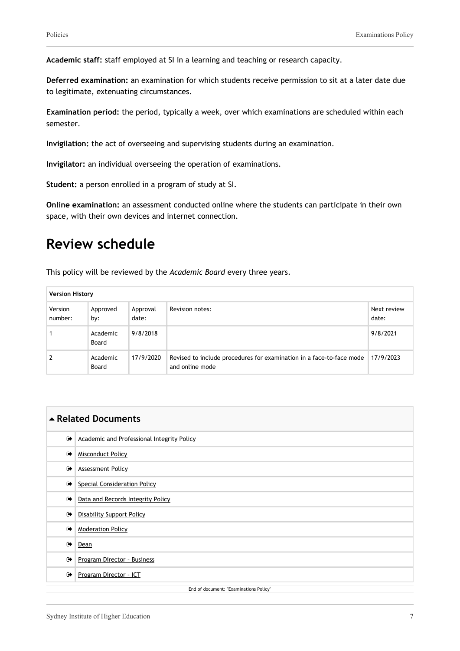**Academic staff:** staff employed at SI in a learning and teaching or research capacity.

**Deferred examination:** an examination for which students receive permission to sit at a later date due to legitimate, extenuating circumstances.

**Examination period:** the period, typically a week, over which examinations are scheduled within each semester.

**Invigilation:** the act of overseeing and supervising students during an examination.

**Invigilator:** an individual overseeing the operation of examinations.

**Student:** a person enrolled in a program of study at SI.

**Online examination:** an assessment conducted online where the students can participate in their own space, with their own devices and internet connection.

## **Review schedule**

This policy will be reviewed by the *Academic Board* every three years.

| <b>Version History</b> |                   |                   |                                                                                         |                      |
|------------------------|-------------------|-------------------|-----------------------------------------------------------------------------------------|----------------------|
| Version<br>number:     | Approved<br>by:   | Approval<br>date: | Revision notes:                                                                         | Next review<br>date: |
|                        | Academic<br>Board | 9/8/2018          |                                                                                         | 9/8/2021             |
|                        | Academic<br>Board | 17/9/2020         | Revised to include procedures for examination in a face-to-face mode<br>and online mode | 17/9/2023            |

| ▲ Related Documents                    |                                                   |  |  |  |
|----------------------------------------|---------------------------------------------------|--|--|--|
| $\bullet$                              | <b>Academic and Professional Integrity Policy</b> |  |  |  |
| $\rightarrow$                          | <b>Misconduct Policy</b>                          |  |  |  |
| $\bullet$                              | <b>Assessment Policy</b>                          |  |  |  |
| $\bullet$                              | <b>Special Consideration Policy</b>               |  |  |  |
| $\bullet$                              | Data and Records Integrity Policy                 |  |  |  |
| $\bullet$                              | <b>Disability Support Policy</b>                  |  |  |  |
| $\bullet$                              | <b>Moderation Policy</b>                          |  |  |  |
| $\bullet$                              | Dean                                              |  |  |  |
| $\bullet$                              | Program Director - Business                       |  |  |  |
| $\bullet$                              | Program Director - ICT                            |  |  |  |
| End of document: "Examinations Policy" |                                                   |  |  |  |